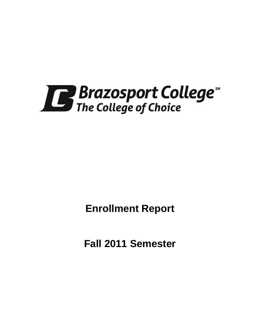

**Enrollment Report**

**Fall 2011 Semester**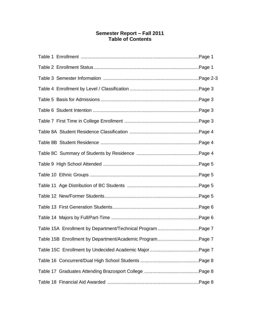# **Semester Report – Fall 2011 Table of Contents**

| Table 15A Enrollment by Department/Technical Program Page 7 |  |
|-------------------------------------------------------------|--|
| Table 15B Enrollment by Department/Academic ProgramPage 7   |  |
|                                                             |  |
|                                                             |  |
|                                                             |  |
|                                                             |  |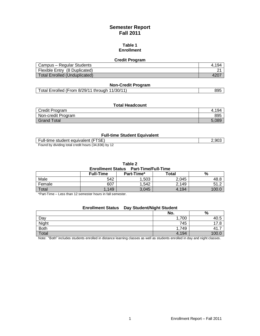# **Semester Report Fall 2011**

#### **Table 1 Enrollment**

#### **Credit Program**

| Campus – Regular Students            | 4.194 |
|--------------------------------------|-------|
| Flexible Entry (8 Duplicated)        |       |
| <b>Total Enrolled (Unduplicated)</b> | 4207  |

## **Non-Credit Program**

# **Total Headcount**

| Credit Program     | 194   |
|--------------------|-------|
| Non-credit Program | 895   |
| <b>Grand Total</b> | 5.089 |

#### **Full-time Student Equivalent**

| Full-time student equivalent (FTSE)                 | 2,903 |
|-----------------------------------------------------|-------|
| Found by dividing total credit hours (34,836) by 12 |       |

**Table 2**

### **Enrollment Status Part-Time/Full-Time**

|        | <b>Full-Time</b> | Part-Time* | Total | %     |
|--------|------------------|------------|-------|-------|
| Male   | 542              | .503       | 2,045 | 48.8  |
| Female | 607              | .542       | 2,149 | 51.2  |
| Total  | 149              | 3,045      | 4,194 | 100.C |

\*Part-Time – Less than 12 semester hours in fall semester.

# **Enrollment Status Day Student/Night Student**

|             | No.   | %             |
|-------------|-------|---------------|
| Day         | 1,700 | ⊾40           |
| Night       | 745   | Ω<br>–<br>. 0 |
| <b>Both</b> | 1,749 | .             |
| Total       | 4,194 | 100           |

Note: "Both" includes students enrolled in distance learning classes as well as students enrolled in day and night classes.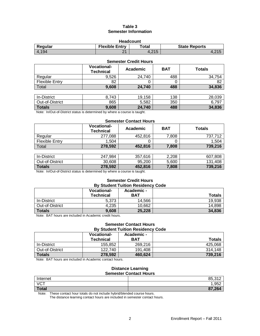## **Table 3 Semester Information**

| <b>Headcount</b>                                                  |      |       |                   |  |  |
|-------------------------------------------------------------------|------|-------|-------------------|--|--|
| <b>Flexible Entry</b><br>Regular<br>Total<br><b>State Reports</b> |      |       |                   |  |  |
| 4.194                                                             | ົາ 1 | 4.215 | 4.21 <sub>5</sub> |  |  |

| <b>Semester Credit Hours</b> |                                        |          |            |               |  |
|------------------------------|----------------------------------------|----------|------------|---------------|--|
|                              | <b>Vocational-</b><br><b>Technical</b> | Academic | <b>BAT</b> | <b>Totals</b> |  |
| Regular                      | 9,526                                  | 24,740   | 488        | 34,754        |  |
| <b>Flexible Entry</b>        | 82                                     |          | 0          | 82            |  |
| Total                        | 9,608                                  | 24,740   | 488        | 34,836        |  |
|                              |                                        |          |            |               |  |
| In-District                  | 8,743                                  | 19,158   | 138        | 28,039        |  |
| Out-of-District              | 865                                    | 5,582    | 350        | 6,797         |  |

**Totals 9,608 24,740 488 34,836** Note: In/Out-of-District status is determined by where a course is taught.

#### **Semester Contact Hours**

|                | <b>Vocational-</b><br><b>Technical</b> | Academic | <b>BAT</b> | <b>Totals</b> |
|----------------|----------------------------------------|----------|------------|---------------|
| Regular        | 277,088                                | 452.816  | 7,808      | 737.712       |
| Flexible Entry | .504                                   |          |            | 1.504         |
| Total          | 278,592                                | 452,816  | 7,808      | 739,216       |

| In-District     | 247.984 | 357.616 | 2,208 | 607.808      |
|-----------------|---------|---------|-------|--------------|
| Out-of-District | 30,608  | 95.200  | 5.600 | .408<br>131. |
| <b>Totals</b>   | 278,592 | 452,816 | 7,808 | 739.216      |

Note: In/Out-of-District status is determined by where a course is taught.

#### **Semester Credit Hours By Student Tuition Residency Code**

|                 | <b>Vocational-</b><br><b>Technical</b> | Academic -<br><b>BAT</b> | <b>Totals</b> |
|-----------------|----------------------------------------|--------------------------|---------------|
| In-District     | 5.373                                  | 14,566                   | 19,938        |
| Out-of-District | 4.235                                  | 10,662                   | 14,898        |
| Totals          | 9,608                                  | 25,228                   | 34,836        |

Note: BAT hours are included in Academic credit hours.

#### **Semester Contact Hours By Student Tuition Residency Code**

|                 | <b>Vocational-</b><br><b>Technical</b> | Academic -<br>BAT | <b>Totals</b> |
|-----------------|----------------------------------------|-------------------|---------------|
| In-District     | 155.852                                | 269.216           | 425,068       |
| Out-of-District | 122.740                                | 191.408           | 314.148       |
| <b>Totals</b>   | 278,592                                | 460.624           | 739,216       |

Note: BAT hours are included in Academic contact hours.

#### **Distance Learning Semester Contact Hours**

| <u> Jinvolvi Jinuavi nijang</u> |            |  |  |  |
|---------------------------------|------------|--|--|--|
| Internet                        | 85,312     |  |  |  |
| <b>VCT</b>                      | 952,       |  |  |  |
| <b>Total</b>                    | ,264<br>07 |  |  |  |

Note: These contact hour totals do not include hybrid/blended course hours.

The distance learning contact hours are included in semester contact hours.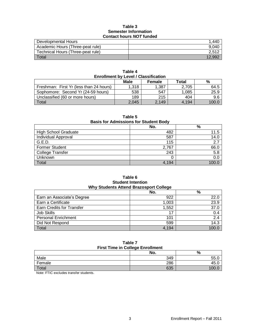#### **Table 3 Semester Information Contact hours** *NOT* **funded**

| Developmental Hours               | .440   |
|-----------------------------------|--------|
| Academic Hours (Three-peat rule)  | 9.040  |
| Technical Hours (Three-peat rule) | 2.512  |
| Total                             | 12.992 |

| <b>Enrollment by Level / Classification</b> |       |       |       |       |  |  |
|---------------------------------------------|-------|-------|-------|-------|--|--|
| <b>Male</b><br>Total<br>%<br><b>Female</b>  |       |       |       |       |  |  |
| Freshman: First Yr (less than 24 hours)     | 1.318 | 1,387 | 2.705 | 64.5  |  |  |
| Sophomore: Second Yr (24-59 hours)          | 538   | 547   | 1.085 | 25.9  |  |  |
| Unclassified (60 or more hours)             | 189   | 215   | 404   | 9.6   |  |  |
| Total                                       | 2,045 | 2.149 | 4.194 | 100.0 |  |  |

**Table 4**

**Table 5**

**Basis for Admissions for Student Body**

|                             | No.   | $\%$   |  |
|-----------------------------|-------|--------|--|
| <b>High School Graduate</b> | 482   | 11.5   |  |
| Individual Approval         | 587   | 14.0   |  |
| G.E.D.                      | 115   | 2.7    |  |
| <b>Former Student</b>       | 2,767 | 66.0   |  |
| College Transfer            | 243   | 5.8    |  |
| Unknown                     |       | 0.0    |  |
| Total                       | 4.194 | 100  በ |  |

#### **Table 6 Student Intention Why Students Attend Brazosport College**

|                            | No.   | $\%$  |  |
|----------------------------|-------|-------|--|
| Earn an Associate's Degree | 922   | 22.0  |  |
| Earn a Certificate         | 1,003 | 23.9  |  |
| Earn Credits for Transfer  | 1,552 | 37.0  |  |
| Job Skills                 | 17    | 0.4   |  |
| <b>Personal Enrichment</b> | 101   | 2.4   |  |
| Did Not Respond            | 599   | 14.3  |  |
| Total                      | 4,194 | 100.0 |  |

#### **Table 7 First Time in College Enrollment**

|        | No. | %     |  |
|--------|-----|-------|--|
| Male   | 349 | 55.0  |  |
| Female | 286 | 45.0  |  |
| Total  | 635 | 100.0 |  |

Note: FTIC excludes transfer students.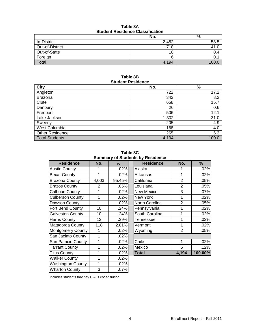| Table 8A                                |  |  |
|-----------------------------------------|--|--|
| <b>Student Residence Classification</b> |  |  |

|                 | No.   | %    |  |
|-----------------|-------|------|--|
| In-District     | 2,452 | 58.5 |  |
| Out-of-District | 1,718 | 41.0 |  |
| Out-of-State    | 18    | 0.4  |  |
| Foreign         |       |      |  |
| Total           | 4.194 |      |  |

### **Table 8B Student Residence**

| <b>City</b>            | No.   | $\%$  |
|------------------------|-------|-------|
| Angleton               | 722   | 17.2  |
| <b>Brazoria</b>        | 342   | 8.2   |
| Clute                  | 658   | 15.7  |
| Danbury                | 26    | 0.6   |
| Freeport               | 506   | 12.1  |
| Lake Jackson           | 1,302 | 31.0  |
| Sweeny                 | 205   | 4.9   |
| West Columbia          | 168   | 4.0   |
| <b>Other Residence</b> | 265   | 6.3   |
| <b>Total Students</b>  | 4,194 | 100.0 |

**Table 8C Summary of Students by Residence**

|                          |                 |        | Summary of Students by Residence |                |         |
|--------------------------|-----------------|--------|----------------------------------|----------------|---------|
| <b>Residence</b>         | No.             | ℅      | <b>Residence</b>                 | No.            | %       |
| <b>Austin County</b>     |                 | .02%   | Alaska                           | 1              | .02%    |
| <b>Bexar County</b>      | 1               | .02%   | Arkansas                         | 1              | .02%    |
| <b>Brazoria County</b>   | 4,003           | 95.45% | California                       | $\overline{2}$ | .05%    |
| <b>Brazos County</b>     | $\overline{2}$  | .05%   | Louisiana                        | $\overline{2}$ | .05%    |
| Calhoun County           | 1               | .02%   | <b>New Mexico</b>                | 3              | .07%    |
| <b>Culberson County</b>  | 1               | .02%   | New York                         | 1              | .02%    |
| Dawson County            | 1               | .02%   | North Carolina                   | $\overline{2}$ | .05%    |
| Fort Bend County         | 10              | .24%   | Pennsylvania                     | 1              | .02%    |
| <b>Galveston County</b>  | 10              | .24%   | South Carolina                   | 1              | .02%    |
| Harris County            | 12 <sub>2</sub> | .29%   | Tennessee                        | 1              | .02%    |
| Matagorda County         | 118             | 2.81%  | Vermont                          | 1              | .02%    |
| Montgomery County        | 1               | .02%   | Wyoming                          | $\overline{2}$ | .05%    |
| San Jacinto County       | 1               | .02%   |                                  |                |         |
| San Patricio County      | 1               | .02%   | Chile                            | 1              | .02%    |
| <b>Tarrant County</b>    | 1               | .02%   | Mexico                           | 5              | .12%    |
| <b>Titus County</b>      | 1               | .02%   | <b>Total</b>                     | 4,194          | 100.00% |
| <b>Walker County</b>     | 1               | .02%   |                                  |                |         |
| <b>Washington County</b> | 1               | .02%   |                                  |                |         |
| <b>Wharton County</b>    | 3               | .07%   |                                  |                |         |

| <b>Residence</b>  | No.            | ℅       |
|-------------------|----------------|---------|
| Alaska            | 1              | .02%    |
| Arkansas          | 1              | .02%    |
| California        | $\overline{2}$ | .05%    |
| Louisiana         | $\overline{2}$ | .05%    |
| <b>New Mexico</b> | 3              | .07%    |
| New York          | 1              | .02%    |
| North Carolina    | $\overline{2}$ | .05%    |
| Pennsylvania      | 1              | .02%    |
| South Carolina    | 1              | .02%    |
| Tennessee         | 1              | .02%    |
| Vermont           | 1              | .02%    |
| Wyoming           | $\overline{2}$ | .05%    |
|                   |                |         |
| Chile             | 1              | .02%    |
| Mexico            | 5              | .12%    |
| <b>Total</b>      | 4,194          | 100.00% |

Includes students that pay C & D coded tuition.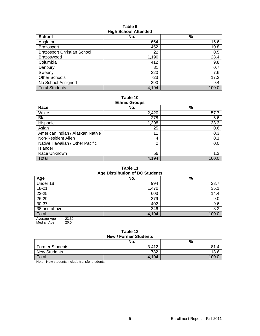#### **Table 9 High School Attended**

| School                             | No.   | $\%$  |
|------------------------------------|-------|-------|
| Angleton                           | 654   | 15.6  |
| <b>Brazosport</b>                  | 452   | 10.8  |
| <b>Brazosport Christian School</b> | 22    | 0.5   |
| Brazoswood                         | 1,190 | 28.4  |
| Columbia                           | 412   | 9.8   |
| Danbury                            | 31    | 0.7   |
| Sweeny                             | 320   | 7.6   |
| Other Schools                      | 723   | 17.2  |
| No School Assigned                 | 390   | 9.4   |
| <b>Total Students</b>              | 4,194 | 100.0 |

#### **Table 10 Ethnic Groups**

| Lullillo Oroups                  |       |       |  |  |
|----------------------------------|-------|-------|--|--|
| Race                             | No.   | $\%$  |  |  |
| White                            | 2,420 | 57.7  |  |  |
| <b>Black</b>                     | 278   | 6.6   |  |  |
| Hispanic                         | 1,398 | 33.3  |  |  |
| Asian                            | 25    | 0.6   |  |  |
| American Indian / Alaskan Native | 11    | 0.3   |  |  |
| Non-Resident Alien               | 4     | 0.1   |  |  |
| Native Hawaiian / Other Pacific  | 2     | 0.0   |  |  |
| Islander                         |       |       |  |  |
| Race Unknown                     | 56    | 1.3   |  |  |
| Total                            | 4,194 | 100.0 |  |  |

#### **Table 11 Age Distribution of BC Students**

| Age Distribution of DC Students |       |       |  |  |
|---------------------------------|-------|-------|--|--|
| Age                             | No.   | %     |  |  |
| Under 18                        | 994   | 23.7  |  |  |
| 18-21                           | 1,470 | 35.1  |  |  |
| $22 - 25$                       | 603   | 14.4  |  |  |
| $26 - 29$                       | 379   | 9.0   |  |  |
| $30-37$                         | 402   | 9.6   |  |  |
| 38 and above                    | 346   | 8.2   |  |  |
| Total                           | 4,194 | 100.0 |  |  |
| $= 23.39$<br>Average Age        |       |       |  |  |

 $Median Age = 20.0$ 

### **Table 12 New / Former Students**

|                        | No.   | %    |
|------------------------|-------|------|
| <b>Former Students</b> | 3.412 | 81.4 |
| <b>New Students</b>    | 782   | 18.6 |
| Total                  | 4.194 | 100. |

Note: New students include transfer students.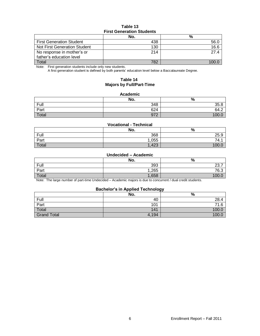### **Table 13 First Generation Students**

|                                 | No. | %     |
|---------------------------------|-----|-------|
| <b>First Generation Student</b> | 438 | 56.0  |
| Not First Generation Student    | 130 | 16.6  |
| No response in mother's or      | 214 | 27.4  |
| father's education level        |     |       |
| Total                           | 782 | 1ሰሰ ሰ |

Note: First generation students include only new students.

A first generation student is defined by both parents' education level below a Baccalaureate Degree.

### **Table 14 Majors by Full/Part-Time**

#### **Academic**

|       | No. | $\%$            |
|-------|-----|-----------------|
| Full  | 348 | 35.8            |
| Part  | 624 | 64.2            |
| Total | 972 | 10 <sup>c</sup> |

#### **Vocational - Technical**

|       | No.   | $\Omega$<br>70 |
|-------|-------|----------------|
| Full  | 368   | 25.9           |
| Part  | ,055  | 74.            |
| Total | 1,423 | 100.0          |

#### **Undecided – Academic**

|       | No.  | %                    |
|-------|------|----------------------|
| Full  | 393  | $\sim$ $\sim$<br>، ب |
| Part  | ,265 | 76.3                 |
| Total | ,658 | 100                  |

Note: The large number of part-time Undecided – Academic majors is due to concurrent / dual credit students.

#### **Bachelor's in Applied Technology**

|                    | No.   | --<br>% |
|--------------------|-------|---------|
| Full               | 40    | 28.4    |
| Part               | 101   | 71.6    |
| Total              | 141   | 100.C   |
| <b>Grand Total</b> | 4,194 | 100.C   |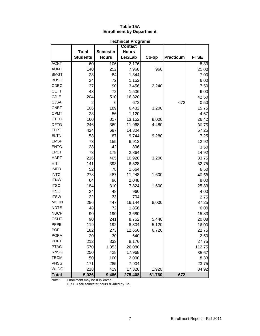#### **Table 15A Enrollment by Department**

|              | <b>Technical Programs</b> |                 |                |        |                  |             |
|--------------|---------------------------|-----------------|----------------|--------|------------------|-------------|
|              |                           |                 | <b>Contact</b> |        |                  |             |
|              | <b>Total</b>              | <b>Semester</b> | <b>Hours</b>   |        |                  |             |
|              | <b>Students</b>           | <b>Hours</b>    | Lec/Lab        | Co-op  | <b>Practicum</b> | <b>FTSE</b> |
| <b>ACNT</b>  | 60                        | 106             | 2,176          |        |                  | 8.83        |
| <b>AUMT</b>  | 140                       | 252             | 7,968          | 960    |                  | 21.00       |
| <b>BMGT</b>  | 28                        | 84              | 1,344          |        |                  | 7.00        |
| <b>BUSG</b>  | 24                        | 72              | 1,152          |        |                  | 6.00        |
| CDEC         | 37                        | 90              | 3,456          | 2,240  |                  | 7.50        |
| <b>CETT</b>  | 48                        | 72              | 1,536          |        |                  | 6.00        |
| <b>CJLE</b>  | 204                       | 510             | 16,320         |        |                  | 42.50       |
| <b>CJSA</b>  | 2                         | 6               | 672            |        | 672              | 0.50        |
| <b>CNBT</b>  | 106                       | 189             | 6,432          | 3,200  |                  | 15.75       |
| <b>CPMT</b>  | 28                        | 56              | 1,120          |        |                  | 4.67        |
| <b>CTEC</b>  | 160                       | 317             | 13,152         | 8,000  |                  | 26.42       |
| <b>DFTG</b>  | 246                       | 369             | 11,968         | 4,480  |                  | 30.75       |
| <b>ELPT</b>  | 424                       | 687             | 14,304         |        |                  | 57.25       |
| <b>ELTN</b>  | 58                        | 87              | 9,744          | 9,280  |                  | 7.25        |
| <b>EMSP</b>  | 73                        | 155             | 6,912          |        |                  | 12.92       |
| <b>ENTC</b>  | 28                        | 42              | 896            |        |                  | 3.50        |
| <b>EPCT</b>  | 73                        | 179             | 2,864          |        |                  | 14.92       |
| <b>HART</b>  | 216                       | 405             | 10,928         | 3,200  |                  | 33.75       |
| <b>HITT</b>  | 141                       | 393             | 6,528          |        |                  | 32.75       |
| <b>IMED</b>  | 52                        | 78              | 1,664          |        |                  | 6.50        |
| <b>INTC</b>  | 278                       | 487             | 11,248         | 1,600  |                  | 40.58       |
| <b>ITNW</b>  | 64                        | 96              | 2,048          |        |                  | 8.00        |
| <b>ITSC</b>  | 184                       | 310             | 7,824          | 1,600  |                  | 25.83       |
| <b>ITSE</b>  | 24                        | 48              | 960            |        |                  | 4.00        |
| <b>ITSW</b>  | 22                        | 33              | 704            |        |                  | 2.75        |
| <b>MCHN</b>  | 286                       | 447             | 16,144         | 8,000  |                  | 37.25       |
| <b>NDTE</b>  | 48                        | 72              | 1,856          |        |                  | 6.00        |
| <b>NUCP</b>  | 90                        | 190             | 3,680          |        |                  | 15.83       |
| <b>OSHT</b>  | 90                        | 241             | 8,752          | 5,440  |                  | 20.08       |
| PFPB         | 119                       | 192             | 8,304          | 5,120  |                  | 16.00       |
| <b>POFI</b>  | 182                       | 273             | 12,656         | 6,720  |                  | 22.75       |
| <b>POFM</b>  | 20                        | 30              | 640            |        |                  | 2.50        |
| <b>POFT</b>  | 212                       | 333             | 8,176          |        |                  | 27.75       |
| <b>PTAC</b>  | 570                       | 1,353           | 26,080         |        |                  | 112.75      |
| <b>RNSG</b>  | 250                       | 428             | 17,968         |        |                  | 35.67       |
| <b>TECM</b>  | 50                        | 100             | 2,000          |        |                  | 8.33        |
| <b>VNSG</b>  | 171                       | 285             | 7,904          |        |                  | 23.75       |
| WLDG         | 218                       | 419             | 17,328         | 1,920  |                  | 34.92       |
| <b>Total</b> | 5,026                     | 9,486           | 275,408        | 61,760 | 672              |             |

Note: Enrollment may be duplicated.

FTSE = fall semester hours divided by 12.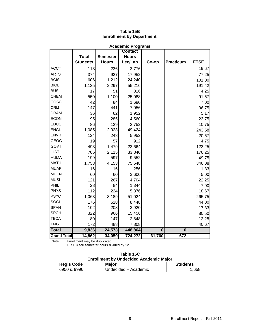|                    |                 |                 | <b>Academic Programs</b> |          |                  |             |
|--------------------|-----------------|-----------------|--------------------------|----------|------------------|-------------|
|                    |                 |                 | <b>Contact</b>           |          |                  |             |
|                    | <b>Total</b>    | <b>Semester</b> | <b>Hours</b>             |          |                  |             |
|                    | <b>Students</b> | <b>Hours</b>    | Lec/Lab                  | Co-op    | <b>Practicum</b> | <b>FTSE</b> |
| <b>ACCT</b>        | 118             | 236             | 3,776                    |          |                  | 19.67       |
| <b>ARTS</b>        | 374             | 927             | 17,952                   |          |                  | 77.25       |
| <b>BCIS</b>        | 606             | 1,212           | 24,240                   |          |                  | 101.00      |
| <b>BIOL</b>        | 1,135           | 2,297           | 55,216                   |          |                  | 191.42      |
| <b>BUSI</b>        | 17              | 51              | 816                      |          |                  | 4.25        |
| <b>CHEM</b>        | 550             | 1,100           | 25,088                   |          |                  | 91.67       |
| COSC               | 42              | 84              | 1,680                    |          |                  | 7.00        |
| <b>CRIJ</b>        | 147             | 441             | 7,056                    |          |                  | 36.75       |
| <b>DRAM</b>        | 36              | 62              | 1,952                    |          |                  | 5.17        |
| <b>ECON</b>        | 95              | 285             | 4,560                    |          |                  | 23.75       |
| <b>EDUC</b>        | 86              | 129             | 2,752                    |          |                  | 10.75       |
| <b>ENGL</b>        | 1,085           | 2,923           | 49,424                   |          |                  | 243.58      |
| <b>ENVR</b>        | 124             | 248             | 5,952                    |          |                  | 20.67       |
| <b>GEOG</b>        | 19              | 57              | 912                      |          |                  | 4.75        |
| GOVT               | 493             | 1,479           | 23,664                   |          |                  | 123.25      |
| <b>HIST</b>        | 705             | 2,115           | 33,840                   |          |                  | 176.25      |
| <b>HUMA</b>        | 199             | 597             | 9,552                    |          |                  | 49.75       |
| <b>MATH</b>        | 1,753           | 4,153           | 75,648                   |          |                  | 346.08      |
| <b>MUAP</b>        | 16              | 16              | 256                      |          |                  | 1.33        |
| <b>MUEN</b>        | 60              | 60              | 3,600                    |          |                  | 5.00        |
| <b>MUSI</b>        | 121             | 267             | 4,704                    |          |                  | 22.25       |
| PHIL               | 28              | 84              | 1,344                    |          |                  | 7.00        |
| <b>PHYS</b>        | 112             | 224             | 5,376                    |          |                  | 18.67       |
| <b>PSYC</b>        | 1,063           | 3,189           | 51,024                   |          |                  | 265.75      |
| SOCI               | 176             | 528             | 8,448                    |          |                  | 44.00       |
| <b>SPAN</b>        | 102             | 208             | 3,920                    |          |                  | 17.33       |
| <b>SPCH</b>        | 322             | 966             | 15,456                   |          |                  | 80.50       |
| <b>TECA</b>        | 80              | 147             | 2,848                    |          |                  | 12.25       |
| <b>TMGT</b>        | 172             | 488             | 7,808                    |          |                  | 40.67       |
| <b>Total</b>       | 9,836           | 24,573          | 448,864                  | $\bf{0}$ | $\mathbf 0$      |             |
| <b>Grand Total</b> | 14,862          | 34,059          | $\overline{724,}272$     | 61,760   | 672              |             |

# **Table 15B Enrollment by Department**

Note: Enrollment may be duplicated.

FTSE = fall semester hours divided by 12.

| Table 15C                                     |  |
|-----------------------------------------------|--|
| <b>Enrollment by Undecided Academic Major</b> |  |

| <b>Hegis Code</b> | <b>Major</b>         | <b>Students</b> |  |  |
|-------------------|----------------------|-----------------|--|--|
| 6950 & 9996       | Undecided – Academic | .658            |  |  |